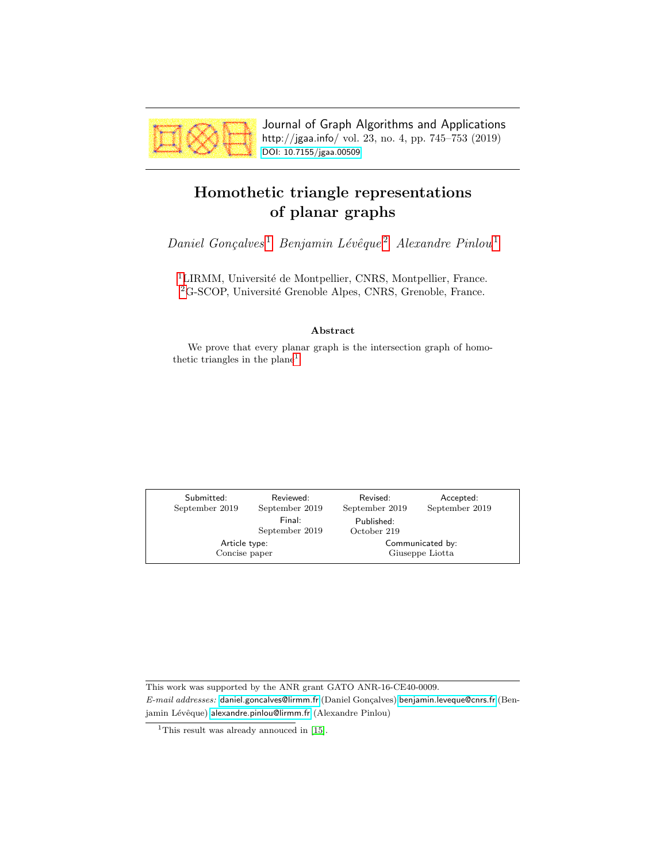<span id="page-0-1"></span>

Journal of Graph Algorithms and Applications http://jgaa.info/ vol. 23, no. 4, pp. 745–753 (2019) [DOI: 10.7155/jgaa.00509](http://dx.doi.org/10.7155/jgaa.00509)

# <span id="page-0-0"></span>Homothetic triangle representations of planar graphs

 $Daniel$   $Gonçalves<sup>1</sup>$  $Gonçalves<sup>1</sup>$  $Gonçalves<sup>1</sup>$   $Benjamin$   $Lévêque<sup>2</sup>$  $Lévêque<sup>2</sup>$  $Lévêque<sup>2</sup>$   $Alexander$   $Pinlou<sup>1</sup>$ 

<sup>[1](#page-0-0)</sup>LIRMM, Université de Montpellier, CNRS, Montpellier, France. <sup>[2](#page-0-0)</sup>G-SCOP, Université Grenoble Alpes, CNRS, Grenoble, France.

### Abstract

We prove that every planar graph is the intersection graph of homothetic triangles in the plane<sup>1</sup>.

| Submitted:     | Reviewed:                | Revised:                  | Accepted:      |
|----------------|--------------------------|---------------------------|----------------|
| September 2019 | September 2019           | September 2019            | September 2019 |
|                | Final:<br>September 2019 | Published:<br>October 219 |                |
| Article type:  |                          | Communicated by:          |                |
| Concise paper  |                          | Giuseppe Liotta           |                |

This work was supported by the ANR grant GATO ANR-16-CE40-0009. E-mail addresses: [daniel.goncalves@lirmm.fr](mailto:daniel.goncalves@lirmm.fr) (Daniel Gonçalves) [benjamin.leveque@cnrs.fr](mailto:benjamin.leveque@cnrs.fr) (Benjamin Lévêque) [alexandre.pinlou@lirmm.fr](mailto:alexandre.pinlou@lirmm.fr) (Alexandre Pinlou)

<sup>&</sup>lt;sup>1</sup>This result was already annouced in [\[15\]](#page-8-0).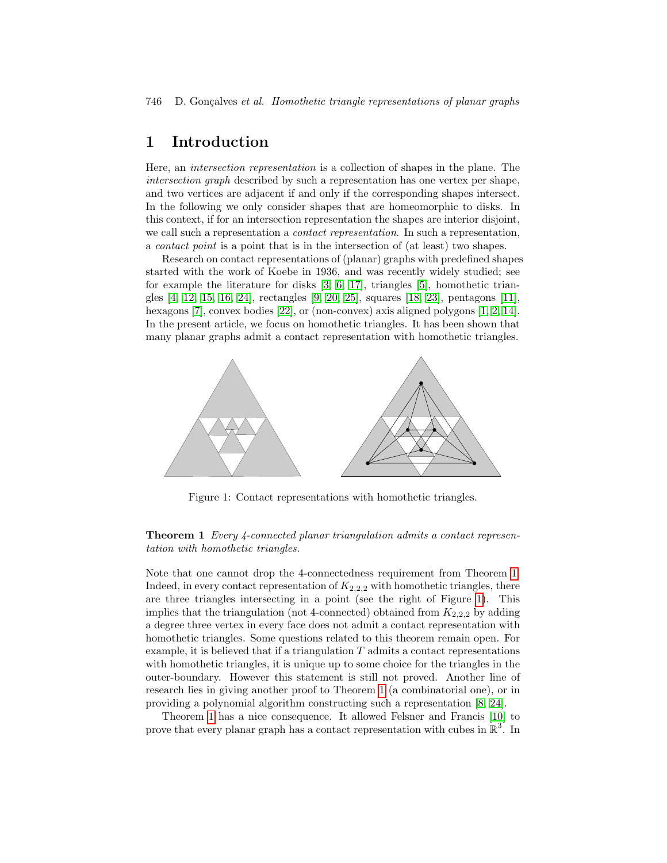## 1 Introduction

Here, an intersection representation is a collection of shapes in the plane. The intersection graph described by such a representation has one vertex per shape, and two vertices are adjacent if and only if the corresponding shapes intersect. In the following we only consider shapes that are homeomorphic to disks. In this context, if for an intersection representation the shapes are interior disjoint, we call such a representation a *contact representation*. In such a representation, a contact point is a point that is in the intersection of (at least) two shapes.

Research on contact representations of (planar) graphs with predefined shapes started with the work of Koebe in 1936, and was recently widely studied; see for example the literature for disks [\[3,](#page-7-0) [6,](#page-7-1) [17\]](#page-8-1), triangles [\[5\]](#page-7-2), homothetic triangles [\[4,](#page-7-3) [12,](#page-7-4) [15,](#page-8-0) [16,](#page-8-2) [24\]](#page-8-3), rectangles [\[9,](#page-7-5) [20,](#page-8-4) [25\]](#page-8-5), squares [\[18,](#page-8-6) [23\]](#page-8-7), pentagons [\[11\]](#page-7-6), hexagons [\[7\]](#page-7-7), convex bodies [\[22\]](#page-8-8), or (non-convex) axis aligned polygons [\[1,](#page-7-8) [2,](#page-7-9) [14\]](#page-8-9). In the present article, we focus on homothetic triangles. It has been shown that many planar graphs admit a contact representation with homothetic triangles.



<span id="page-1-1"></span>Figure 1: Contact representations with homothetic triangles.

### <span id="page-1-0"></span>**Theorem 1** Every 4-connected planar triangulation admits a contact representation with homothetic triangles.

Note that one cannot drop the 4-connectedness requirement from Theorem [1.](#page-1-0) Indeed, in every contact representation of  $K_{2,2,2}$  with homothetic triangles, there are three triangles intersecting in a point (see the right of Figure [1\)](#page-1-1). This implies that the triangulation (not 4-connected) obtained from  $K_{2,2,2}$  by adding a degree three vertex in every face does not admit a contact representation with homothetic triangles. Some questions related to this theorem remain open. For example, it is believed that if a triangulation  $T$  admits a contact representations with homothetic triangles, it is unique up to some choice for the triangles in the outer-boundary. However this statement is still not proved. Another line of research lies in giving another proof to Theorem [1](#page-1-0) (a combinatorial one), or in providing a polynomial algorithm constructing such a representation [\[8,](#page-7-10) [24\]](#page-8-3).

Theorem [1](#page-1-0) has a nice consequence. It allowed Felsner and Francis [\[10\]](#page-7-11) to prove that every planar graph has a contact representation with cubes in  $\mathbb{R}^3$ . In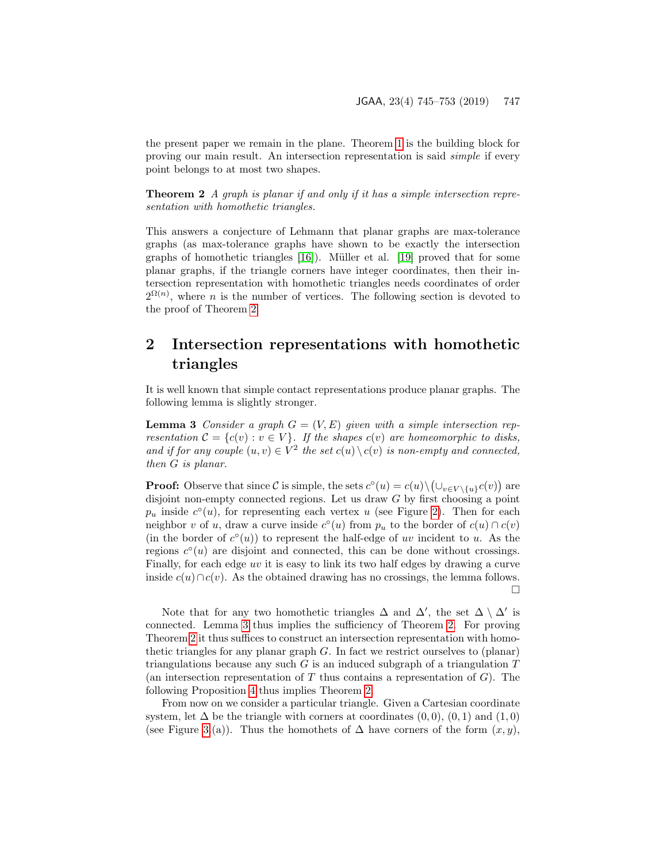the present paper we remain in the plane. Theorem [1](#page-1-0) is the building block for proving our main result. An intersection representation is said simple if every point belongs to at most two shapes.

<span id="page-2-0"></span>**Theorem 2** A graph is planar if and only if it has a simple intersection representation with homothetic triangles.

This answers a conjecture of Lehmann that planar graphs are max-tolerance graphs (as max-tolerance graphs have shown to be exactly the intersection graphs of homothetic triangles  $[16]$ ). Müller et al.  $[19]$  proved that for some planar graphs, if the triangle corners have integer coordinates, then their intersection representation with homothetic triangles needs coordinates of order  $2^{\Omega(n)}$ , where *n* is the number of vertices. The following section is devoted to the proof of Theorem [2.](#page-2-0)

## 2 Intersection representations with homothetic triangles

<span id="page-2-1"></span>It is well known that simple contact representations produce planar graphs. The following lemma is slightly stronger.

**Lemma 3** Consider a graph  $G = (V, E)$  given with a simple intersection representation  $C = \{c(v) : v \in V\}$ . If the shapes  $c(v)$  are homeomorphic to disks, and if for any couple  $(u, v) \in V^2$  the set  $c(u) \setminus c(v)$  is non-empty and connected, then G is planar.

**Proof:** Observe that since C is simple, the sets  $c^{\circ}(u) = c(u) \setminus (\cup_{v \in V \setminus \{u\}} c(v))$  are disjoint non-empty connected regions. Let us draw G by first choosing a point  $p_u$  inside  $c^{\circ}(u)$ , for representing each vertex u (see Figure [2\)](#page-3-0). Then for each neighbor v of u, draw a curve inside  $c^{\circ}(u)$  from  $p_u$  to the border of  $c(u) \cap c(v)$ (in the border of  $c^{\circ}(u)$ ) to represent the half-edge of uv incident to u. As the regions  $c^{\circ}(u)$  are disjoint and connected, this can be done without crossings. Finally, for each edge uv it is easy to link its two half edges by drawing a curve inside  $c(u) \cap c(v)$ . As the obtained drawing has no crossings, the lemma follows.  $\Box$ 

Note that for any two homothetic triangles  $\Delta$  and  $\Delta'$ , the set  $\Delta \setminus \Delta'$  is connected. Lemma [3](#page-2-1) thus implies the sufficiency of Theorem [2.](#page-2-0) For proving Theorem [2](#page-2-0) it thus suffices to construct an intersection representation with homothetic triangles for any planar graph G. In fact we restrict ourselves to (planar) triangulations because any such  $G$  is an induced subgraph of a triangulation  $T$ (an intersection representation of  $T$  thus contains a representation of  $G$ ). The following Proposition [4](#page-3-1) thus implies Theorem [2.](#page-2-0)

From now on we consider a particular triangle. Given a Cartesian coordinate system, let  $\Delta$  be the triangle with corners at coordinates  $(0,0), (0,1)$  and  $(1,0)$ (see Figure [3.](#page-3-2)(a)). Thus the homothets of  $\Delta$  have corners of the form  $(x, y)$ ,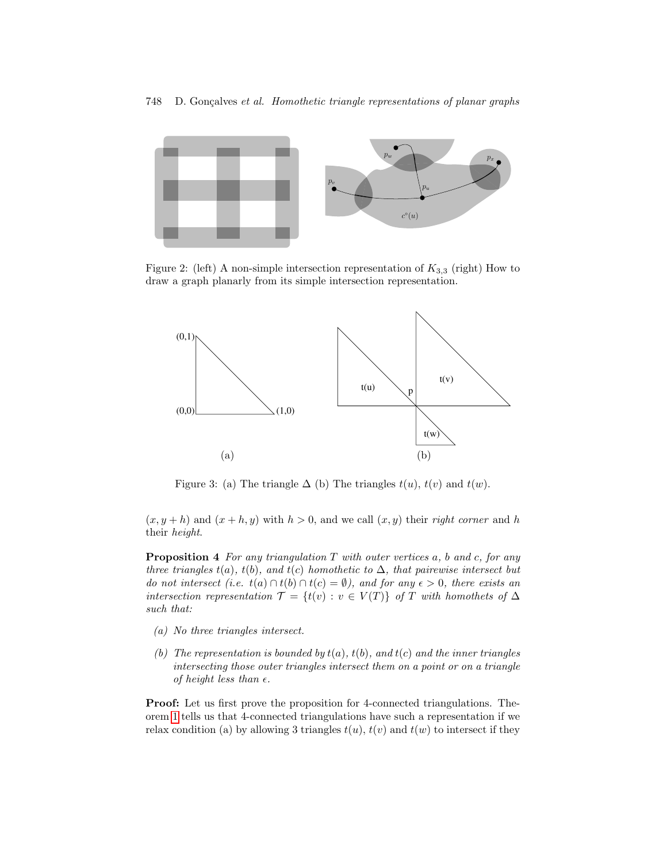

<span id="page-3-0"></span>Figure 2: (left) A non-simple intersection representation of  $K_{3,3}$  (right) How to draw a graph planarly from its simple intersection representation.



<span id="page-3-2"></span>Figure 3: (a) The triangle  $\Delta$  (b) The triangles  $t(u)$ ,  $t(v)$  and  $t(w)$ .

 $(x, y+h)$  and  $(x+h, y)$  with  $h > 0$ , and we call  $(x, y)$  their right corner and h their height.

<span id="page-3-1"></span>**Proposition 4** For any triangulation  $T$  with outer vertices  $a$ ,  $b$  and  $c$ , for any three triangles  $t(a)$ ,  $t(b)$ , and  $t(c)$  homothetic to  $\Delta$ , that pairewise intersect but do not intersect (i.e.  $t(a) \cap t(b) \cap t(c) = \emptyset$ ), and for any  $\epsilon > 0$ , there exists an intersection representation  $\mathcal{T} = \{t(v) : v \in V(T)\}\;$  of T with homothets of  $\Delta$ such that:

- (a) No three triangles intersect.
- (b) The representation is bounded by  $t(a)$ ,  $t(b)$ , and  $t(c)$  and the inner triangles intersecting those outer triangles intersect them on a point or on a triangle of height less than  $\epsilon$ .

Proof: Let us first prove the proposition for 4-connected triangulations. Theorem [1](#page-1-0) tells us that 4-connected triangulations have such a representation if we relax condition (a) by allowing 3 triangles  $t(u)$ ,  $t(v)$  and  $t(w)$  to intersect if they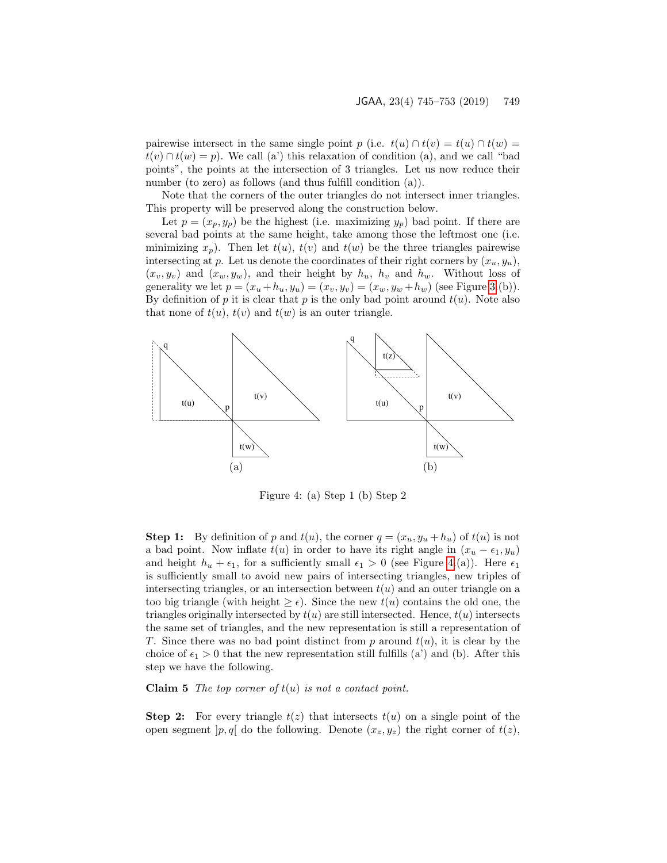pairewise intersect in the same single point p (i.e.  $t(u) \cap t(v) = t(u) \cap t(w) =$  $t(v) \cap t(w) = p$ . We call (a') this relaxation of condition (a), and we call "bad points", the points at the intersection of 3 triangles. Let us now reduce their number (to zero) as follows (and thus fulfill condition (a)).

Note that the corners of the outer triangles do not intersect inner triangles. This property will be preserved along the construction below.

Let  $p = (x_p, y_p)$  be the highest (i.e. maximizing  $y_p$ ) bad point. If there are several bad points at the same height, take among those the leftmost one (i.e. minimizing  $x_p$ ). Then let  $t(u)$ ,  $t(v)$  and  $t(w)$  be the three triangles pairewise intersecting at p. Let us denote the coordinates of their right corners by  $(x_u, y_u)$ ,  $(x_v, y_v)$  and  $(x_w, y_w)$ , and their height by  $h_u$ ,  $h_v$  and  $h_w$ . Without loss of generality we let  $p = (x_u + h_u, y_u) = (x_v, y_v) = (x_w, y_w + h_w)$  (see Figure [3.](#page-3-2)(b)). By definition of  $p$  it is clear that  $p$  is the only bad point around  $t(u)$ . Note also that none of  $t(u)$ ,  $t(v)$  and  $t(w)$  is an outer triangle.



<span id="page-4-0"></span>Figure 4: (a) Step 1 (b) Step 2

**Step 1:** By definition of p and  $t(u)$ , the corner  $q = (x_u, y_u + h_u)$  of  $t(u)$  is not a bad point. Now inflate  $t(u)$  in order to have its right angle in  $(x_u - \epsilon_1, y_u)$ and height  $h_u + \epsilon_1$ , for a sufficiently small  $\epsilon_1 > 0$  (see Figure [4.](#page-4-0)(a)). Here  $\epsilon_1$ is sufficiently small to avoid new pairs of intersecting triangles, new triples of intersecting triangles, or an intersection between  $t(u)$  and an outer triangle on a too big triangle (with height  $\geq \epsilon$ ). Since the new  $t(u)$  contains the old one, the triangles originally intersected by  $t(u)$  are still intersected. Hence,  $t(u)$  intersects the same set of triangles, and the new representation is still a representation of T. Since there was no bad point distinct from  $p$  around  $t(u)$ , it is clear by the choice of  $\epsilon_1 > 0$  that the new representation still fulfills (a') and (b). After this step we have the following.

**Claim 5** The top corner of  $t(u)$  is not a contact point.

**Step 2:** For every triangle  $t(z)$  that intersects  $t(u)$  on a single point of the open segment  $[p, q]$  do the following. Denote  $(x_z, y_z)$  the right corner of  $t(z)$ ,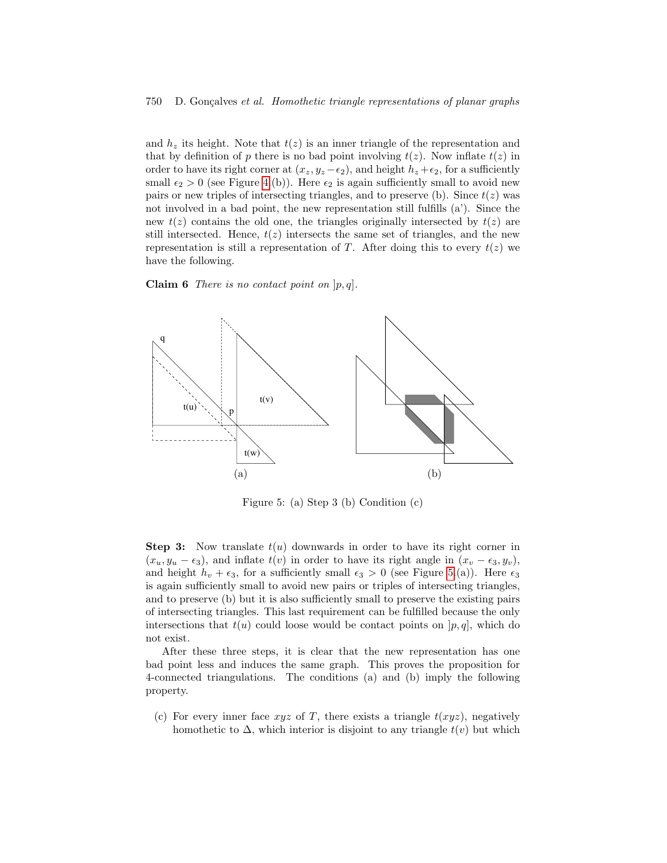#### 750 D. Gonçalves et al. Homothetic triangle representations of planar graphs

and  $h_z$  its height. Note that  $t(z)$  is an inner triangle of the representation and that by definition of p there is no bad point involving  $t(z)$ . Now inflate  $t(z)$  in order to have its right corner at  $(x_z, y_z - \epsilon_2)$ , and height  $h_z + \epsilon_2$ , for a sufficiently small  $\epsilon_2 > 0$  (see Figure [4.](#page-4-0)(b)). Here  $\epsilon_2$  is again sufficiently small to avoid new pairs or new triples of intersecting triangles, and to preserve (b). Since  $t(z)$  was not involved in a bad point, the new representation still fulfills (a'). Since the new  $t(z)$  contains the old one, the triangles originally intersected by  $t(z)$  are still intersected. Hence,  $t(z)$  intersects the same set of triangles, and the new representation is still a representation of T. After doing this to every  $t(z)$  we have the following.

**Claim 6** There is no contact point on  $[p, q]$ .



<span id="page-5-0"></span>Figure 5: (a) Step 3 (b) Condition (c)

**Step 3:** Now translate  $t(u)$  downwards in order to have its right corner in  $(x_u, y_u - \epsilon_3)$ , and inflate  $t(v)$  in order to have its right angle in  $(x_v - \epsilon_3, y_v)$ , and height  $h_v + \epsilon_3$ , for a sufficiently small  $\epsilon_3 > 0$  (see Figure [5.](#page-5-0)(a)). Here  $\epsilon_3$ is again sufficiently small to avoid new pairs or triples of intersecting triangles, and to preserve (b) but it is also sufficiently small to preserve the existing pairs of intersecting triangles. This last requirement can be fulfilled because the only intersections that  $t(u)$  could loose would be contact points on  $[p, q]$ , which do not exist.

After these three steps, it is clear that the new representation has one bad point less and induces the same graph. This proves the proposition for 4-connected triangulations. The conditions (a) and (b) imply the following property.

(c) For every inner face  $xyz$  of T, there exists a triangle  $t(xyz)$ , negatively homothetic to  $\Delta$ , which interior is disjoint to any triangle  $t(v)$  but which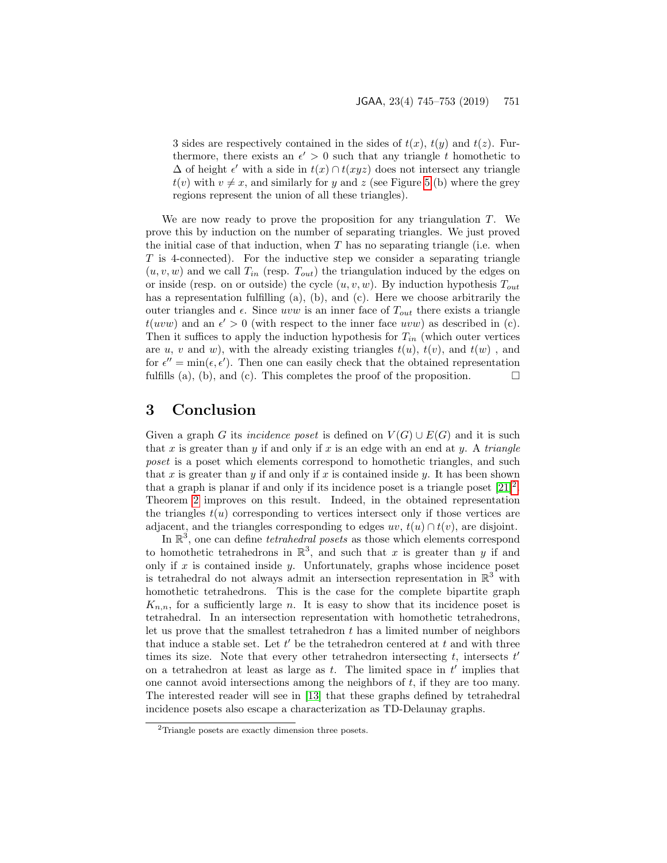3 sides are respectively contained in the sides of  $t(x)$ ,  $t(y)$  and  $t(z)$ . Furthermore, there exists an  $\epsilon' > 0$  such that any triangle t homothetic to  $\Delta$  of height  $\epsilon'$  with a side in  $t(x) \cap t(xyz)$  does not intersect any triangle  $t(v)$  with  $v \neq x$ , and similarly for y and z (see Figure [5.](#page-5-0)(b) where the grey regions represent the union of all these triangles).

We are now ready to prove the proposition for any triangulation  $T$ . We prove this by induction on the number of separating triangles. We just proved the initial case of that induction, when  $T$  has no separating triangle (i.e. when T is 4-connected). For the inductive step we consider a separating triangle  $(u, v, w)$  and we call  $T_{in}$  (resp.  $T_{out}$ ) the triangulation induced by the edges on or inside (resp. on or outside) the cycle  $(u, v, w)$ . By induction hypothesis  $T_{out}$ has a representation fulfilling (a), (b), and (c). Here we choose arbitrarily the outer triangles and  $\epsilon$ . Since uvw is an inner face of  $T_{out}$  there exists a triangle  $t(uvw)$  and an  $\epsilon' > 0$  (with respect to the inner face uvw) as described in (c). Then it suffices to apply the induction hypothesis for  $T_{in}$  (which outer vertices are u, v and w), with the already existing triangles  $t(u)$ ,  $t(v)$ , and  $t(w)$ , and for  $\epsilon'' = \min(\epsilon, \epsilon')$ . Then one can easily check that the obtained representation fulfills (a), (b), and (c). This completes the proof of the proposition.  $\Box$ 

## 3 Conclusion

Given a graph G its *incidence poset* is defined on  $V(G) \cup E(G)$  and it is such that x is greater than y if and only if x is an edge with an end at y. A triangle poset is a poset which elements correspond to homothetic triangles, and such that x is greater than y if and only if x is contained inside y. It has been shown that a graph is planar if and only if its incidence poset is a triangle poset  $[21]^2$  $[21]^2$  $[21]^2$ . Theorem [2](#page-2-0) improves on this result. Indeed, in the obtained representation the triangles  $t(u)$  corresponding to vertices intersect only if those vertices are adjacent, and the triangles corresponding to edges  $uv$ ,  $t(u) \cap t(v)$ , are disjoint.

In  $\mathbb{R}^3$ , one can define *tetrahedral posets* as those which elements correspond to homothetic tetrahedrons in  $\mathbb{R}^3$ , and such that x is greater than y if and only if  $x$  is contained inside  $y$ . Unfortunately, graphs whose incidence poset is tetrahedral do not always admit an intersection representation in  $\mathbb{R}^3$  with homothetic tetrahedrons. This is the case for the complete bipartite graph  $K_{n,n}$ , for a sufficiently large n. It is easy to show that its incidence poset is tetrahedral. In an intersection representation with homothetic tetrahedrons, let us prove that the smallest tetrahedron t has a limited number of neighbors that induce a stable set. Let  $t'$  be the tetrahedron centered at  $t$  and with three times its size. Note that every other tetrahedron intersecting  $t$ , intersects  $t'$ on a tetrahedron at least as large as  $t$ . The limited space in  $t'$  implies that one cannot avoid intersections among the neighbors of  $t$ , if they are too many. The interested reader will see in [\[13\]](#page-7-12) that these graphs defined by tetrahedral incidence posets also escape a characterization as TD-Delaunay graphs.

<sup>2</sup>Triangle posets are exactly dimension three posets.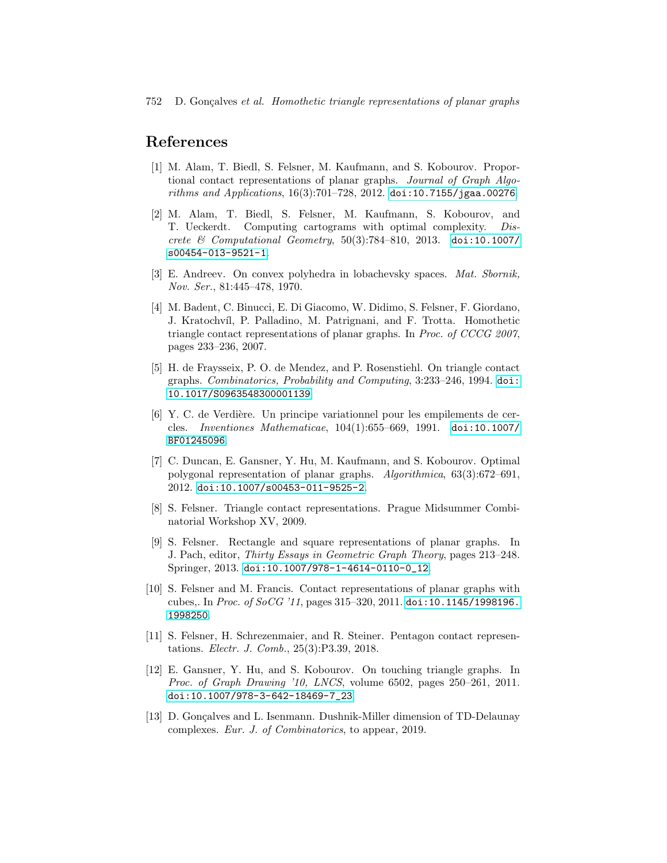## References

- <span id="page-7-8"></span>[1] M. Alam, T. Biedl, S. Felsner, M. Kaufmann, and S. Kobourov. Proportional contact representations of planar graphs. Journal of Graph Algorithms and Applications, 16(3):701–728, 2012. [doi:10.7155/jgaa.00276](http://dx.doi.org/10.7155/jgaa.00276).
- <span id="page-7-9"></span>[2] M. Alam, T. Biedl, S. Felsner, M. Kaufmann, S. Kobourov, and T. Ueckerdt. Computing cartograms with optimal complexity. Discrete & Computational Geometry, 50(3):784–810, 2013. [doi:10.1007/](http://dx.doi.org/10.1007/s00454-013-9521-1) [s00454-013-9521-1](http://dx.doi.org/10.1007/s00454-013-9521-1).
- <span id="page-7-0"></span>[3] E. Andreev. On convex polyhedra in lobachevsky spaces. Mat. Sbornik, Nov. Ser., 81:445–478, 1970.
- <span id="page-7-3"></span>[4] M. Badent, C. Binucci, E. Di Giacomo, W. Didimo, S. Felsner, F. Giordano, J. Kratochv´ıl, P. Palladino, M. Patrignani, and F. Trotta. Homothetic triangle contact representations of planar graphs. In Proc. of CCCG 2007, pages 233–236, 2007.
- <span id="page-7-2"></span>[5] H. de Fraysseix, P. O. de Mendez, and P. Rosenstiehl. On triangle contact graphs. Combinatorics, Probability and Computing, 3:233–246, 1994. [doi:](http://dx.doi.org/10.1017/S0963548300001139) [10.1017/S0963548300001139](http://dx.doi.org/10.1017/S0963548300001139).
- <span id="page-7-1"></span>[6] Y. C. de Verdi`ere. Un principe variationnel pour les empilements de cercles. Inventiones Mathematicae, 104(1):655–669, 1991. [doi:10.1007/](http://dx.doi.org/10.1007/BF01245096) [BF01245096](http://dx.doi.org/10.1007/BF01245096).
- <span id="page-7-7"></span>[7] C. Duncan, E. Gansner, Y. Hu, M. Kaufmann, and S. Kobourov. Optimal polygonal representation of planar graphs. Algorithmica, 63(3):672–691, 2012. [doi:10.1007/s00453-011-9525-2](http://dx.doi.org/10.1007/s00453-011-9525-2).
- <span id="page-7-10"></span>[8] S. Felsner. Triangle contact representations. Prague Midsummer Combinatorial Workshop XV, 2009.
- <span id="page-7-5"></span>[9] S. Felsner. Rectangle and square representations of planar graphs. In J. Pach, editor, Thirty Essays in Geometric Graph Theory, pages 213–248. Springer, 2013. [doi:10.1007/978-1-4614-0110-0\\_12](http://dx.doi.org/10.1007/978-1-4614-0110-0_12).
- <span id="page-7-11"></span>[10] S. Felsner and M. Francis. Contact representations of planar graphs with cubes,. In Proc. of SoCG '11, pages 315–320, 2011. [doi:10.1145/1998196.](http://dx.doi.org/10.1145/1998196.1998250) [1998250](http://dx.doi.org/10.1145/1998196.1998250).
- <span id="page-7-6"></span>[11] S. Felsner, H. Schrezenmaier, and R. Steiner. Pentagon contact representations. Electr. J. Comb., 25(3):P3.39, 2018.
- <span id="page-7-4"></span>[12] E. Gansner, Y. Hu, and S. Kobourov. On touching triangle graphs. In Proc. of Graph Drawing '10, LNCS, volume 6502, pages 250–261, 2011. [doi:10.1007/978-3-642-18469-7\\_23](http://dx.doi.org/10.1007/978-3-642-18469-7_23).
- <span id="page-7-12"></span>[13] D. Gonçalves and L. Isenmann. Dushnik-Miller dimension of TD-Delaunay complexes. Eur. J. of Combinatorics, to appear, 2019.